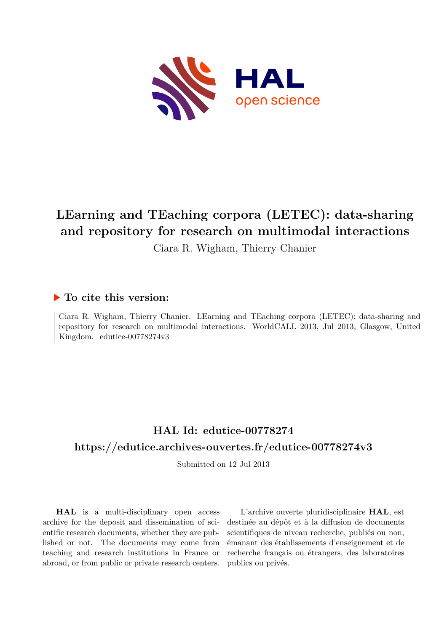

# **LEarning and TEaching corpora (LETEC): data-sharing and repository for research on multimodal interactions**

Ciara R. Wigham, Thierry Chanier

## **To cite this version:**

Ciara R. Wigham, Thierry Chanier. LEarning and TEaching corpora (LETEC): data-sharing and repository for research on multimodal interactions. WorldCALL 2013, Jul 2013, Glasgow, United Kingdom. edutice-00778274v3

# **HAL Id: edutice-00778274 <https://edutice.archives-ouvertes.fr/edutice-00778274v3>**

Submitted on 12 Jul 2013

**HAL** is a multi-disciplinary open access archive for the deposit and dissemination of scientific research documents, whether they are published or not. The documents may come from teaching and research institutions in France or abroad, or from public or private research centers.

L'archive ouverte pluridisciplinaire **HAL**, est destinée au dépôt et à la diffusion de documents scientifiques de niveau recherche, publiés ou non, émanant des établissements d'enseignement et de recherche français ou étrangers, des laboratoires publics ou privés.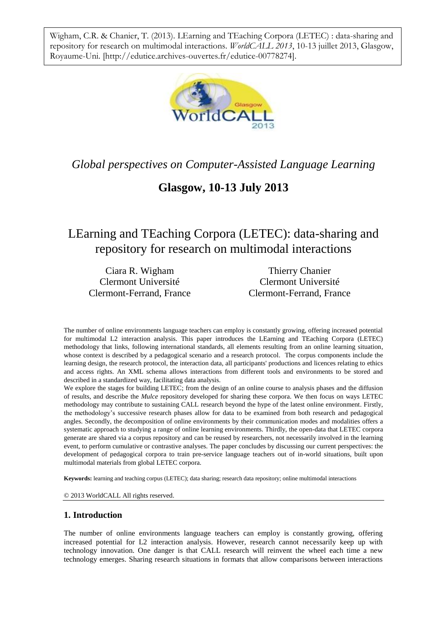Wigham, C.R. & Chanier, T. (2013). LEarning and TEaching Corpora (LETEC) : data-sharing and repository for research on multimodal interactions. *WorldCALL 2013*, 10-13 juillet 2013, Glasgow, Royaume-Uni. [\[http://edutice.archives-ouvertes.fr/edutice-00778274\]](http://edutice.archives-ouvertes.fr/edutice-00778274).



## *Global perspectives on Computer-Assisted Language Learning*

## **Glasgow, 10-13 July 2013**

## LEarning and TEaching Corpora (LETEC): data-sharing and repository for research on multimodal interactions

Ciara R. Wigham Clermont Université Clermont-Ferrand, France

Thierry Chanier Clermont Université Clermont-Ferrand, France

The number of online environments language teachers can employ is constantly growing, offering increased potential for multimodal L2 interaction analysis. This paper introduces the LEarning and TEaching Corpora (LETEC) methodology that links, following international standards, all elements resulting from an online learning situation, whose context is described by a pedagogical scenario and a research protocol. The corpus components include the learning design, the research protocol, the interaction data, all participants' productions and licences relating to ethics and access rights. An XML schema allows interactions from different tools and environments to be stored and described in a standardized way, facilitating data analysis.

We explore the stages for building LETEC; from the design of an online course to analysis phases and the diffusion of results, and describe the *Mulce* repository developed for sharing these corpora. We then focus on ways LETEC methodology may contribute to sustaining CALL research beyond the hype of the latest online environment. Firstly, the methodology's successive research phases allow for data to be examined from both research and pedagogical angles. Secondly, the decomposition of online environments by their communication modes and modalities offers a systematic approach to studying a range of online learning environments. Thirdly, the open-data that LETEC corpora generate are shared via a corpus repository and can be reused by researchers, not necessarily involved in the learning event, to perform cumulative or contrastive analyses. The paper concludes by discussing our current perspectives: the development of pedagogical corpora to train pre-service language teachers out of in-world situations, built upon multimodal materials from global LETEC corpora.

**Keywords:** learning and teaching corpus (LETEC); data sharing; research data repository; online multimodal interactions

© 2013 WorldCALL All rights reserved.

### **1. Introduction**

The number of online environments language teachers can employ is constantly growing, offering increased potential for L2 interaction analysis. However, research cannot necessarily keep up with technology innovation. One danger is that CALL research will reinvent the wheel each time a new technology emerges. Sharing research situations in formats that allow comparisons between interactions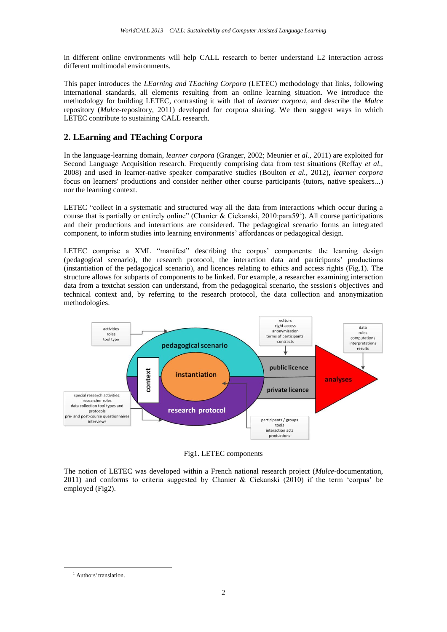in different online environments will help CALL research to better understand L2 interaction across different multimodal environments.

This paper introduces the *LEarning and TEaching Corpora* (LETEC) methodology that links, following international standards, all elements resulting from an online learning situation. We introduce the methodology for building LETEC, contrasting it with that of *learner corpora*, and describe the *Mulce* repository (*Mulce*-repository, 2011) developed for corpora sharing. We then suggest ways in which LETEC contribute to sustaining CALL research.

### **2. LEarning and TEaching Corpora**

In the language-learning domain, *learner corpora* (Granger, 2002; Meunier *et al.,* 2011) are exploited for Second Language Acquisition research. Frequently comprising data from test situations (Reffay *et al.,* 2008) and used in learner-native speaker comparative studies (Boulton *et al.,* 2012), *learner corpora* focus on learners' productions and consider neither other course participants (tutors, native speakers...) nor the learning context.

LETEC "collect in a systematic and structured way all the data from interactions which occur during a course that is partially or entirely online" (Chanier & Ciekanski, 2010:para59<sup>1</sup>). All course participations and their productions and interactions are considered. The pedagogical scenario forms an integrated component, to inform studies into learning environments' affordances or pedagogical design.

LETEC comprise a XML "manifest" describing the corpus' components: the learning design (pedagogical scenario), the research protocol, the interaction data and participants' productions (instantiation of the pedagogical scenario), and licences relating to ethics and access rights (Fig.1). The structure allows for subparts of components to be linked. For example, a researcher examining interaction data from a textchat session can understand, from the pedagogical scenario, the session's objectives and technical context and, by referring to the research protocol, the data collection and anonymization methodologies.



Fig1. LETEC components

The notion of LETEC was developed within a French national research project (*Mulce*-documentation, 2011) and conforms to criteria suggested by Chanier & Ciekanski (2010) if the term 'corpus' be employed (Fig2).

-

<sup>&</sup>lt;sup>1</sup> Authors' translation.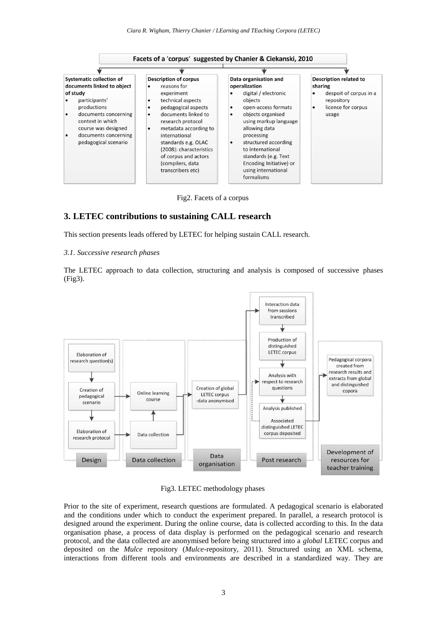



#### **3. LETEC contributions to sustaining CALL research**

This section presents leads offered by LETEC for helping sustain CALL research.

#### *3.1. Successive research phases*

The LETEC approach to data collection, structuring and analysis is composed of successive phases (Fig3).



Fig3. LETEC methodology phases

Prior to the site of experiment, research questions are formulated. A pedagogical scenario is elaborated and the conditions under which to conduct the experiment prepared. In parallel, a research protocol is designed around the experiment. During the online course, data is collected according to this. In the data organisation phase, a process of data display is performed on the pedagogical scenario and research protocol, and the data collected are anonymised before being structured into a *global* LETEC corpus and deposited on the *Mulce* repository (*Mulce*-repository, 2011). Structured using an XML schema, interactions from different tools and environments are described in a standardized way. They are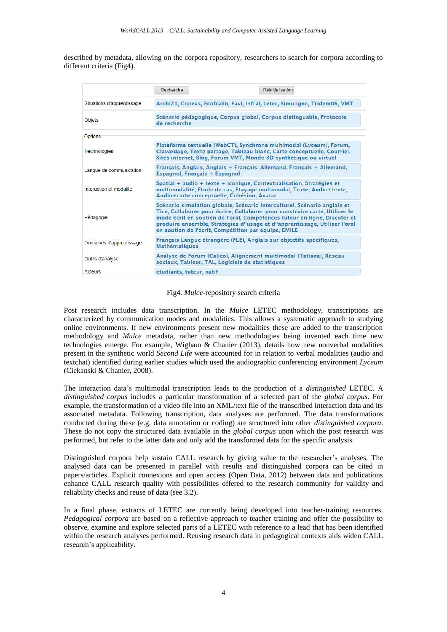described by metadata, allowing on the corpora repository, researchers to search for corpora according to different criteria (Fig4).

|                            | Recherche<br><b>Réinitialisation</b>                                                                                                                                                                                                                                                                                                                                      |
|----------------------------|---------------------------------------------------------------------------------------------------------------------------------------------------------------------------------------------------------------------------------------------------------------------------------------------------------------------------------------------------------------------------|
| Situations d'apprentissage | Archi21, Copeas, Ecofralin, Favi, Infral, Letec, Simuligne, Tridem06, VMT                                                                                                                                                                                                                                                                                                 |
| Objets                     | Scénario pédagogique, Corpus global, Corpus distinguable, Protocole<br>de recherche                                                                                                                                                                                                                                                                                       |
| Options                    |                                                                                                                                                                                                                                                                                                                                                                           |
| <b>Technologies</b>        | Plateforme textuelle (WebCT), Synchrone multimodal (Lyceum), Forum,<br>Clavardage, Texte partagé, Tableau blanc, Carte conceptuelle, Courriel,<br>Sites internet, Blog, Forum VMT, Monde 3D synthétique ou virtuel                                                                                                                                                        |
| Langue de communication    | Français, Anglais, Anglais + Français, Allemand, Français + Allemand,<br>Espagnol, Français + Espagnol                                                                                                                                                                                                                                                                    |
| Interaction et modalité    | Spatial + audio + texte + iconique, Contextualisation, Stratégies et<br>multimodalité, Etude de cas, Etayage multimodal, Texte, Audio+texte,<br>Audio+carte conceptuelle, Cohésion, Avatar                                                                                                                                                                                |
| Pédagogie                  | Scénario simulation globale, Scénario interculturel, Scénario anglais et<br>Tice, Collaborer pour écrire, Collaborer pour construire carte, Utiliser le<br>mode écrit en soutien de l'oral, Compétences tuteur en ligne, Discuter et<br>produire ensemble, Stratégies d"usage et d"apprentissage, Utiliser l'oral<br>en soutien de l'écrit, Compétition par équipe, EMILE |
| Domaines d'apprentissage   | Français Langue étrangère (FLE), Anglais sur objectifs spécifiques,<br><b>Mathématiques</b>                                                                                                                                                                                                                                                                               |
| Outils d'analyse           | Analyse de Forum (Calico), Alignement multimodal (Tatiana), Réseau<br>sociaux, Tableur, TAL, Logiciels de statistiques                                                                                                                                                                                                                                                    |
| Acteurs                    | étudiants, tuteur, natif                                                                                                                                                                                                                                                                                                                                                  |

#### Fig4. *Mulce*-repository search criteria

Post research includes data transcription. In the *Mulce* LETEC methodology, transcriptions are characterized by communication modes and modalities. This allows a systematic approach to studying online environments. If new environments present new modalities these are added to the transcription methodology and *Mulce* metadata, rather than new methodologies being invented each time new technologies emerge. For example, Wigham & Chanier (2013), details how new nonverbal modalities present in the synthetic world *Second Life* were accounted for in relation to verbal modalities (audio and textchat) identified during earlier studies which used the audiographic conferencing environment *Lyceum*  (Ciekanski & Chanier, 2008).

The interaction data's multimodal transcription leads to the production of a *distinguished* LETEC. A *distinguished corpus* includes a particular transformation of a selected part of the *global corpus*. For example, the transformation of a video file into an XML/text file of the transcribed interaction data and its associated metadata. Following transcription, data analyses are performed. The data transformations conducted during these (e.g. data annotation or coding) are structured into other *distinguished corpora*. These do not copy the structured data available in the *global corpus* upon which the post research was performed, but refer to the latter data and only add the transformed data for the specific analysis.

Distinguished corpora help sustain CALL research by giving value to the researcher's analyses. The analysed data can be presented in parallel with results and distinguished corpora can be cited in papers/articles. Explicit connexions and open access (Open Data, 2012) between data and publications enhance CALL research quality with possibilities offered to the research community for validity and reliability checks and reuse of data (see 3.2).

In a final phase, extracts of LETEC are currently being developed into teacher-training resources. *Pedagogical corpora* are based on a reflective approach to teacher training and offer the possibility to observe, examine and explore selected parts of a LETEC with reference to a lead that has been identified within the research analyses performed. Reusing research data in pedagogical contexts aids widen CALL research's applicability.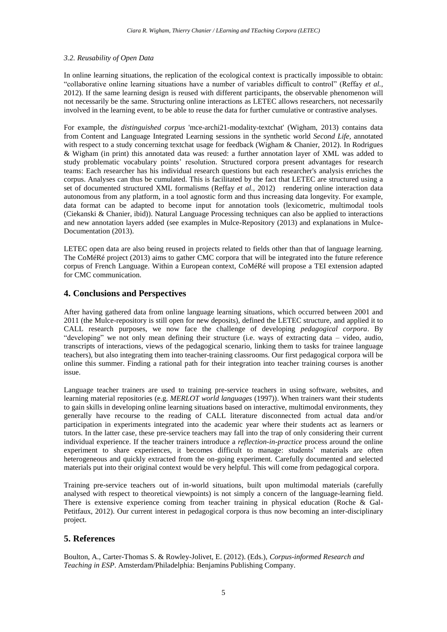#### *3.2. Reusability of Open Data*

In online learning situations, the replication of the ecological context is practically impossible to obtain: "collaborative online learning situations have a number of variables difficult to control" (Reffay *et al.,* 2012). If the same learning design is reused with different participants, the observable phenomenon will not necessarily be the same. Structuring online interactions as LETEC allows researchers, not necessarily involved in the learning event, to be able to reuse the data for further cumulative or contrastive analyses.

For example, the *distinguished corpus* 'mce-archi21-modality-textchat' (Wigham, 2013) contains data from Content and Language Integrated Learning sessions in the synthetic world *Second Life*, annotated with respect to a study concerning textchat usage for feedback (Wigham & Chanier, 2012). In Rodrigues & Wigham (in print) this annotated data was reused: a further annotation layer of XML was added to study problematic vocabulary points' resolution. Structured corpora present advantages for research teams: Each researcher has his individual research questions but each researcher's analysis enriches the corpus. Analyses can thus be cumulated. This is facilitated by the fact that LETEC are structured using a set of documented structured XML formalisms (Reffay *et al.*, 2012) rendering online interaction data autonomous from any platform, in a tool agnostic form and thus increasing data longevity. For example, data format can be adapted to become input for annotation tools (lexicometric, multimodal tools (Ciekanski & Chanier, ibid)). Natural Language Processing techniques can also be applied to interactions and new annotation layers added (see examples in Mulce-Repository (2013) and explanations in Mulce-Documentation (2013).

LETEC open data are also being reused in projects related to fields other than that of language learning. The CoMéRé project (2013) aims to gather CMC corpora that will be integrated into the future reference corpus of French Language. Within a European context, CoMéRé will propose a TEI extension adapted for CMC communication.

### **4. Conclusions and Perspectives**

After having gathered data from online language learning situations, which occurred between 2001 and 2011 (the Mulce-repository is still open for new deposits), defined the LETEC structure, and applied it to CALL research purposes, we now face the challenge of developing *pedagogical corpora*. By "developing" we not only mean defining their structure (i.e. ways of extracting data – video, audio, transcripts of interactions, views of the pedagogical scenario, linking them to tasks for trainee language teachers), but also integrating them into teacher-training classrooms. Our first pedagogical corpora will be online this summer. Finding a rational path for their integration into teacher training courses is another issue.

Language teacher trainers are used to training pre-service teachers in using software, websites, and learning material repositories (e.g. *MERLOT world languages* (1997)). When trainers want their students to gain skills in developing online learning situations based on interactive, multimodal environments, they generally have recourse to the reading of CALL literature disconnected from actual data and/or participation in experiments integrated into the academic year where their students act as learners or tutors. In the latter case, these pre-service teachers may fall into the trap of only considering their current individual experience. If the teacher trainers introduce a *reflection-in-practice* process around the online experiment to share experiences, it becomes difficult to manage: students' materials are often heterogeneous and quickly extracted from the on-going experiment. Carefully documented and selected materials put into their original context would be very helpful. This will come from pedagogical corpora.

Training pre-service teachers out of in-world situations, built upon multimodal materials (carefully analysed with respect to theoretical viewpoints) is not simply a concern of the language-learning field. There is extensive experience coming from teacher training in physical education (Roche & Gal-Petitfaux, 2012). Our current interest in pedagogical corpora is thus now becoming an inter-disciplinary project.

### **5. References**

Boulton, A., Carter-Thomas S. & Rowley-Jolivet, E. (2012). (Eds.), *Corpus-informed Research and Teaching in ESP*. Amsterdam/Philadelphia: Benjamins Publishing Company.